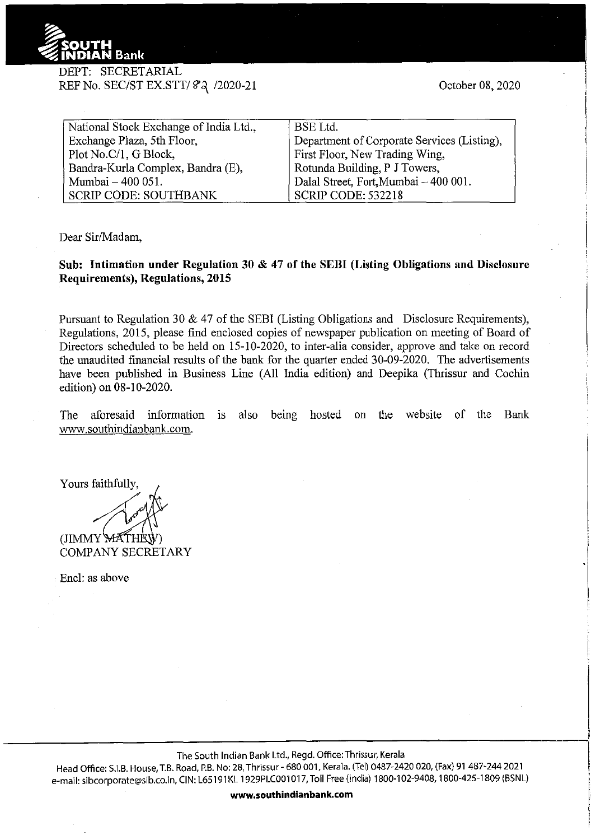

## DEPT: SECRETARIAL REF No. SEC/ST EX.STT/ 82 / 2020-21

| National Stock Exchange of India Ltd., | <b>BSE</b> Ltd.                             |
|----------------------------------------|---------------------------------------------|
| Exchange Plaza, 5th Floor,             | Department of Corporate Services (Listing), |
| Plot No.C/1, G Block,                  | First Floor, New Trading Wing,              |
| Bandra-Kurla Complex, Bandra (E),      | Rotunda Building, P J Towers,               |
| Mumbai - 400 051.                      | Dalal Street, Fort, Mumbai - 400 001.       |
| <b>SCRIP CODE: SOUTHBANK</b>           | <b>SCRIP CODE: 532218</b>                   |

Dear Sir/Madam,

## **Sub: Intimation under Regulation 30 & 47 of the SEBI (Listing Obligations and Disclosure Requirements), Regulations, 2015**

Pursuant to Regulation 30  $\&$  47 of the SEBI (Listing Obligations and Disclosure Requirements), Regulations, 2015, please find enclosed copies of newspaper publication on meeting of Board of Directors scheduled to be held on 15-10-2020, to inter-alia consider, approve and talce on record the unaudited financial results of the bank for the quarter ended 30-09-2020. The advertisements have been published in Business Line (All India edition) and Deepika (Thrissur and Cochin edition) on 08-10-2020.

The aforesaid information 1s also being hosted on the website of the Bank www.southindianbank.com.

Yours faithfully,

(JIMMY WATHI COMPANY SECRETARY

Encl: as above

The South Indian Bank Ltd., Regd. Office:Thrissur, Kerala

Head Office: S.I.B. House, T.B. Road, P.B. No: 28, Thrissur- 680 001, Kerala. (Tel) 0487-2420 020, (Fax) 91 487-244 2021 e-mail: sibcorporate@sib.co.in, CIN: L65191KL 1929PLC001017, Toll Free (India) 1800-102-9408, 1800-425-1809 (BSNL)

**www.southindianbank.com**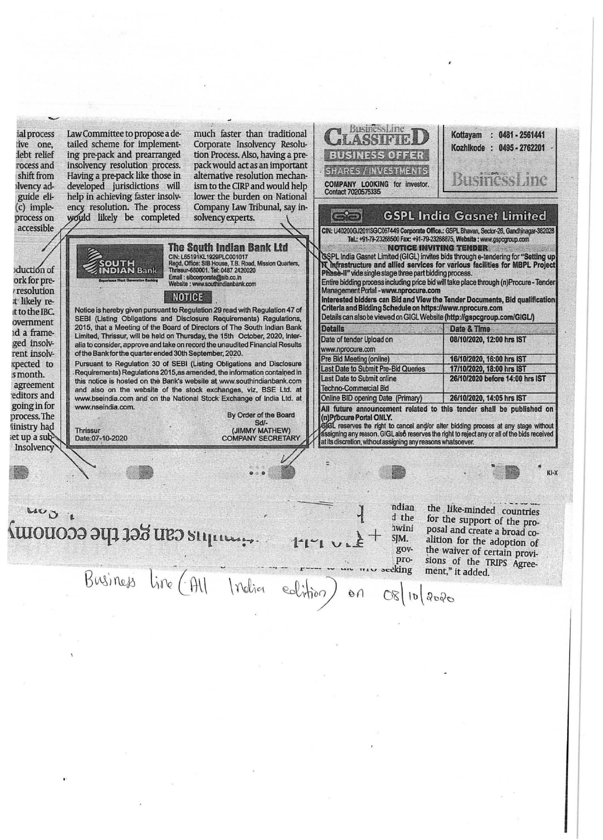